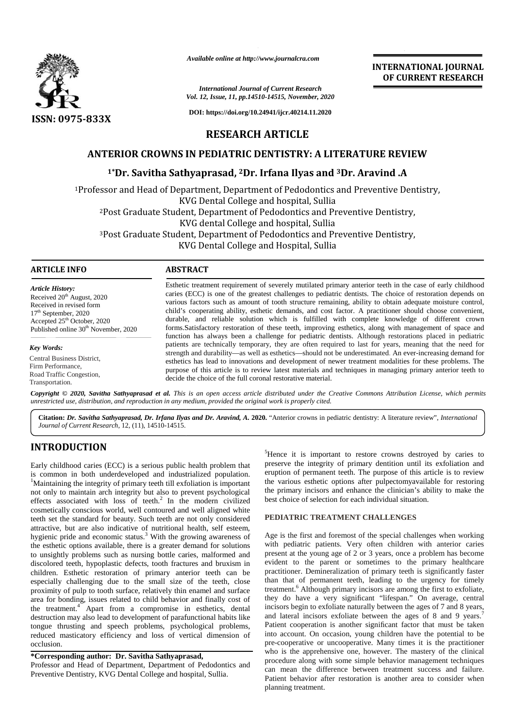

*Available online at http://www.journalcra.com*

#### *International Journal of Current Research Vol. 12, Issue, 11, pp.14510-14515, November, 2020*

**DOI: https://doi.org/10.24941/ijcr.40214.11.2020**

# **INTERNATIONAL JOURNAL OF CURRENT RESEARCH**

## **RESEARCH ARTICLE**

## **ANTERIOR CROWNS IN PEDIATRIC DENTISTRY: A LITERATURE REVIEW**

## **1\*Dr. Savitha Sathyaprasad, <sup>2</sup>Dr. Irfana Ilyas and <sup>3</sup>Dr. Aravind .A 1\***

<sup>1</sup>Professor and Head of Department, Department of Pedodontics and Preventive Dentistry, KVG Dental College and hospital, Sullia <sup>2</sup>Post Graduate Student, Department of Pedodontics and Preventive Dentistry, KVG dental College and hospital, Sullia <sup>3</sup>Post Graduate Student, Department of Pedodontics and Preventive Dentistry, KVG Dental College and Hospital, Sullia <sup>1</sup>Professor and Head of Department, Department of Pedodontics<br>KVG Dental College and hospital, Sullia<br><sup>2</sup>Post Graduate Student, Department of Pedodontics and P<br>KVG dental College and hospital, Sullia<br><sup>3</sup>Post Graduate Stud

#### **ARTICLE INFO ABSTRACT ARTICLE ABSTRACT**

*Article History:* Received  $20<sup>th</sup>$  August, 2020 Received in revised form 17<sup>th</sup> September, 2020 Accepted 25<sup>th</sup> October, 2020 Received in revised form<br>17<sup>th</sup> September, 2020<br>Accepted 25<sup>th</sup> October, 2020<br>Published online 30<sup>th</sup> November, 2020

*Key Words:*

Central Business District, Firm Performance, Road Traffic Congestion, Transportation.

Esthetic treatment requirement of severely mutilated primary anterior teeth in the case of early childhood caries (ECC) is one of the greatest challenges to pediatric dentists. The choice of restoration depends on Esthetic treatment requirement of severely mutilated primary anterior teeth in the case of early childhood caries (ECC) is one of the greatest challenges to pediatric dentists. The choice of restoration depends on various child's cooperating ability, esthetic demands, and cost factor. A practitioner should choose convenient, durable, and reliable solution which is fulfilled with complete knowledge of different crown forms.Satisfactory restoration of these teeth, improving esthetics, along with management of space and function has always been a challenge for pediatric dentists. Although restorations placed in pediatric patients are technically temporary, they are often required to last for years, meaning that the need for strength and durability—as well as esthetics—should not be underestimated. An ever-increasing demand for esthetics has lead to innovations and development of newer treatment modalities for these problems. The purpose of this article is to review latest materials and techniques in managing primary anterior teeth to decide the choice of the full coronal restorative material. durable, and reliable solution which is fulfilled with complete knowledge of different forms. Satisfactory restoration of these teeth, improving esthetics, along with management of sp function has always been a challenge f Associate the other of May developed Access 2002<br>
CITERNATIONAL JOURNAMENT RESEARC<br>
CITERNATIONAL JOURNAMENT RESEARC<br>
2013<br>
2013 **CITERNATIONAL STATIONAL STATION CONVERSER CONTINUES AND CONSULTABLE CONTINUES AND TRIP CONVE** Experiment to the contract of the set and cost factor. A practitioner should choose convenient,<br>
and child's cooperating ability, esthetic demands, and cost factor. A practitioner should choose convenient,<br>
and reliable so INTERN<br>
INTERNATION INTERNATION INTERNATION CONSULTS (16.14 and 16.14 and 16.14 and 16.14 and 16.14 and 16.14 and 16.14 and 16.14 and 16.14 and 17. Annound 20.14 and 17. Annound 20.14 and 17. Annound 20.14 and 17. Annound

Copyright © 2020, Savitha Sathyaprasad et al. This is an open access article distributed under the Creative Commons Attribution License, which permits **Copyright © 2020, Savitha Sathyaprasad et al.** This is an open access article distributed under the Creative<br>unrestricted use, distribution, and reproduction in any medium, provided the original work is properly cited.

**Citation:** *Dr. Savitha Sathyaprasad, Dr. Irfana Ilyas and Dr. Aravind, A.* **2020.** "Anterior crowns in pediatric dentistry: A literature review", *International Journal of Current Research*, 12, (11), 14510-14515.

## **INTRODUCTION INTRODUCTION**

Early childhood caries (ECC) is a serious public health problem that 1 is common in both underdeveloped and industrialized population. <sup>1</sup>Maintaining the integrity of primary teeth till exfoliation is important not only to maintain arch integrity but also to prevent psychological effects associated with loss of teeth. $2$  In the modern civilized best cosmetically conscious world, well contoured and well aligned white teeth set the standard for beauty. Such teeth are not only considered teeth set the standard for beauty. Such teeth are not only considered attractive, but are also indicative of nutritional health, self esteem, hygienic pride and economic status.<sup>3</sup> With the growing awareness of the esthetic options available, there is a greater demand for solutions to unsightly problems such as nursing bottle caries, malformed and discolored teeth, hypoplastic defects, tooth fractures and bruxism in children. Esthetic restoration of primary anterior teeth can be especially challenging due to the small size of the teeth, close proximity of pulp to tooth surface, relatively thin enamel and surface area for bonding, issues related to child behavior and finally cost of the the treatment.<sup>4</sup> Apart from a compromise in esthetics, dental destruction may also lead to development of parafunctional habits like tongue thrusting and speech problems, psychological problems, reduced masticatory efficiency and loss of vertical dimension of occlusion. is common in both underdeveloped and industrialized population.  ${}^{1}$ Maintaining the integrity of primary teeth till exfoliation is important not only to maintain arch integrity but also to prevent psychological the effe hygienic pride and economic status.<sup>3</sup> With the growing awareness of Age<br>the esthetic options available, there is a greater demand for solutions with<br>to unsightly problems such as nursing bottle caries, malformed and pre<br>d proximity of pulp to tooth surface, relatively thin enamel and surface<br>area for bonding, issues related to child behavior and finally cost of<br>the treatment.<sup>4</sup> Apart from a compromise in esthetics, dental destruction may also lead to development of pa<br>tongue thrusting and speech problems, ps<br>reduced masticatory efficiency and loss of<br>occlusion. Early childhood caries (ECC) is a serious public health problem that <sup>3</sup> Preme it is important to restore crowns destroyed by caries occurred by caries common in both underdeveloped and industrialized population a employe

#### **\*Corresponding author: Dr. Savitha Sathyaprasad, \*Corresponding**

Professor and Head of Department, Department of Pedodontics and Preventive Dentistry, KVG Dental College and hospital, Sullia.

<sup>5</sup>Hence it is important to restore crowns destroyed by caries to preserve the integrity of primary dentition until its exfoliation and eruption of permanent teeth. The purpose of this article is to review the various esthetic options after pulpectomyavailable for restoring the primary incisors and enhance the clinician's ability to make the best choice of selection for each individual situation.

#### **PEDIATRIC TREATMENT CHALLENGES CHALLENGES**

Age is the first and foremost of the special challenges when working with pediatric patients. Very often children with anterior caries present at the young age of 2 or 3 years, once a problem has become evident to the parent or sometimes to the primary healthcare practitioner. Demineralization of primary teeth is significantly faster than that of permanent teeth, leading to the urgency for timely treatment.<sup>6</sup> Although primary incisors are among the first to exfoliate, they do have a very significant "lifespan." On average, central incisors begin to exfoliate naturally between the ages of 7 and 8 years, and lateral incisors exfoliate between the ages of 8 and 9 years.<sup>7</sup> Patient cooperation is another significant factor that must be taken into account. On occasion, young children have the potential to be pre-cooperative or uncooperative. Many times it is the practitioner who is the apprehensive one, however. The mastery of the clinical procedure along with some simple behavior management techniques can mean the difference between treatment success and failure. Patient behavior after restoration is another area to consider when planning treatment. diatric patients. Very often children with anterior caries<br>at the young age of 2 or 3 years, once a problem has become<br>to the parent or sometimes to the primary healthcare<br>nenr. Demineralization of primary teeth is signifi CHIRAL THE **CHONDREN SET CAN A CONSUMPATE SET CAN A CONSUMPATE SET CAN A CONSUMPATE SET CAN A CONSUMPATE SET CAN A CONSUMPATE SET CAN A CONSUMPATE SET CAN A CONSUMPATE SET CAN A CONSUMPATE SET CAN A CONSUMPATE SET CAN ALT**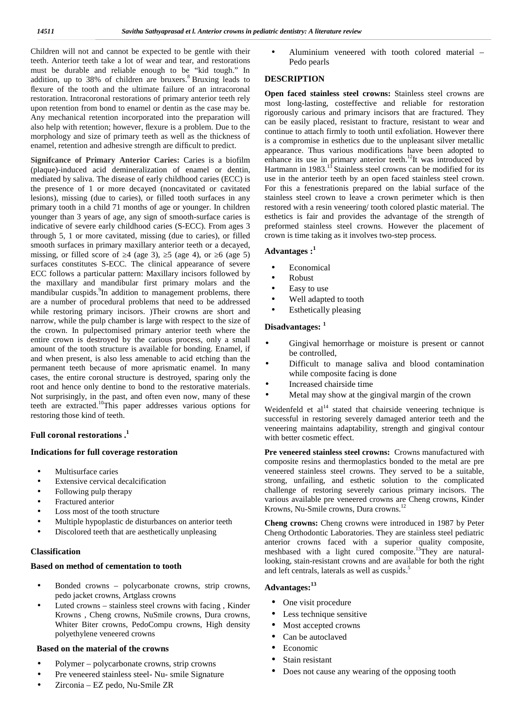Children will not and cannot be expected to be gentle with their teeth. Anterior teeth take a lot of wear and tear, and restorations must be durable and reliable enough to be "kid tough." In addition, up to 38% of children are bruxers.<sup>8</sup> Bruxing leads to flexure of the tooth and the ultimate failure of an intracoronal restoration. Intracoronal restorations of primary anterior teeth rely upon retention from bond to enamel or dentin as the case may be. Any mechanical retention incorporated into the preparation will also help with retention; however, flexure is a problem. Due to the morphology and size of primary teeth as well as the thickness of enamel, retention and adhesive strength are difficult to predict.

**Signifcance of Primary Anterior Caries:** Caries is a biofilm (plaque)-induced acid demineralization of enamel or dentin, mediated by saliva. The disease of early childhood caries (ECC) is the presence of 1 or more decayed (noncavitated or cavitated lesions), missing (due to caries), or filled tooth surfaces in any primary tooth in a child 71 months of age or younger. In children younger than 3 years of age, any sign of smooth-surface caries is indicative of severe early childhood caries (S-ECC). From ages 3 through 5, 1 or more cavitated, missing (due to caries), or filled smooth surfaces in primary maxillary anterior teeth or a decayed, missing, or filled score of  $\overline{4}$  (age 3),  $\overline{5}$  (age 4), or  $\overline{6}$  (age 5) surfaces constitutes S-ECC. The clinical appearance of severe ECC follows a particular pattern: Maxillary incisors followed by the maxillary and mandibular first primary molars and the mandibular cuspids.<sup>9</sup>In addition to management problems, there are a number of procedural problems that need to be addressed while restoring primary incisors. )Their crowns are short and narrow, while the pulp chamber is large with respect to the size of the crown. In pulpectomised primary anterior teeth where the entire crown is destroyed by the carious process, only a small amount of the tooth structure is available for bonding. Enamel, if and when present, is also less amenable to acid etching than the permanent teeth because of more aprismatic enamel. In many cases, the entire coronal structure is destroyed, sparing only the root and hence only dentine to bond to the restorative materials. Not surprisingly, in the past, and often even now, many of these teeth are extracted.<sup>10</sup>This paper addresses various options for restoring those kind of teeth.

#### **Full coronal restorations .<sup>1</sup>**

#### **Indications for full coverage restoration**

- Multisurface caries
- Extensive cervical decalcification
- Following pulp therapy
- Fractured anterior
- Loss most of the tooth structure
- Multiple hypoplastic de disturbances on anterior teeth
- Discolored teeth that are aesthetically unpleasing

#### **Classification**

#### **Based on method of cementation to tooth**

- Bonded crowns polycarbonate crowns, strip crowns, pedo jacket crowns, Artglass crowns
- Luted crowns stainless steel crowns with facing , Kinder Krowns , Cheng crowns, NuSmile crowns, Dura crowns, Whiter Biter crowns, PedoCompu crowns, High density polyethylene veneered crowns

#### **Based on the material of the crowns**

- Polymer polycarbonate crowns, strip crowns
- Pre veneered stainless steel- Nu- smile Signature
- Zirconia EZ pedo, Nu-Smile ZR

 Aluminium veneered with tooth colored material – Pedo pearls

#### **DESCRIPTION**

**Open faced stainless steel crowns:** Stainless steel crowns are most long-lasting, costeffective and reliable for restoration rigorously carious and primary incisors that are fractured. They can be easily placed, resistant to fracture, resistant to wear and continue to attach firmly to tooth until exfoliation. However there is a compromise in esthetics due to the unpleasant silver metallic appearance. Thus various modifications have been adopted to enhance its use in primary anterior teeth.<sup>12</sup>It was introduced by Hartmann in  $1983$ <sup>13</sup> Stainless steel crowns can be modified for its use in the anterior teeth by an open faced stainless steel crown. For this a fenestrationis prepared on the labial surface of the stainless steel crown to leave a crown perimeter which is then restored with a resin veneering/ tooth colored plastic material. The esthetics is fair and provides the advantage of the strength of preformed stainless steel crowns. However the placement of crown is time taking as it involves two-step process.

## **Advantages :<sup>1</sup>**

- Economical
- Robust
- Easy to use
- Well adapted to tooth
- Esthetically pleasing

#### **Disadvantages: <sup>1</sup>**

- Gingival hemorrhage or moisture is present or cannot be controlled,
- Difficult to manage saliva and blood contamination while composite facing is done
- Increased chairside time
- Metal may show at the gingival margin of the crown

Weidenfeld et  $al<sup>14</sup>$  stated that chairside veneering technique is successful in restoring severely damaged anterior teeth and the veneering maintains adaptability, strength and gingival contour with better cosmetic effect.

**Pre veneered stainless steel crowns:** Crowns manufactured with composite resins and thermoplastics bonded to the metal are pre veneered stainless steel crowns. They served to be a suitable, strong, unfailing, and esthetic solution to the complicated challenge of restoring severely carious primary incisors. The various available pre veneered crowns are Cheng crowns, Kinder Krowns, Nu-Smile crowns, Dura crowns.<sup>12</sup>

**Cheng crowns:** Cheng crowns were introduced in 1987 by Peter Cheng Orthodontic Laboratories. They are stainless steel pediatric anterior crowns faced with a superior quality composite, meshbased with a light cured composite.<sup>13</sup>They are naturallooking, stain-resistant crowns and are available for both the right and left centrals, laterals as well as cuspids.<sup>5</sup>

## **Advantages:<sup>13</sup>**

- One visit procedure
- Less technique sensitive
- Most accepted crowns
- Can be autoclaved
- Economic
- Stain resistant
- Does not cause any wearing of the opposing tooth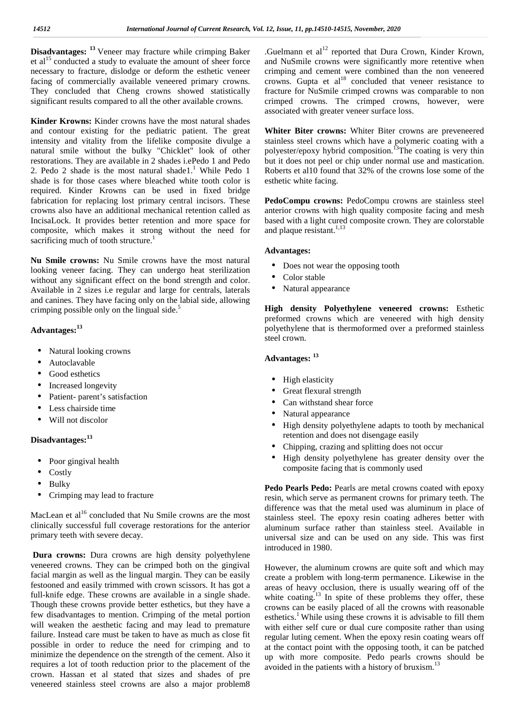**Disadvantages: <sup>13</sup>** Veneer may fracture while crimping Baker et al<sup>15</sup> conducted a study to evaluate the amount of sheer force necessary to fracture, dislodge or deform the esthetic veneer facing of commercially available veneered primary crowns. They concluded that Cheng crowns showed statistically significant results compared to all the other available crowns.

**Kinder Krowns:** Kinder crowns have the most natural shades and contour existing for the pediatric patient. The great intensity and vitality from the lifelike composite divulge a natural smile without the bulky "Chicklet" look of other restorations. They are available in 2 shades i.ePedo 1 and Pedo 2. Pedo 2 shade is the most natural shade $1<sup>1</sup>$  While Pedo 1 shade is for those cases where bleached white tooth color is required. Kinder Krowns can be used in fixed bridge fabrication for replacing lost primary central incisors. These crowns also have an additional mechanical retention called as IncisaLock. It provides better retention and more space for composite, which makes it strong without the need for sacrificing much of tooth structure.<sup>1</sup>

**Nu Smile crowns:** Nu Smile crowns have the most natural looking veneer facing. They can undergo heat sterilization without any significant effect on the bond strength and color. Available in 2 sizes i.e regular and large for centrals, laterals and canines. They have facing only on the labial side, allowing crimping possible only on the lingual side. $5$ 

### **Advantages: 13**

- Natural looking crowns
- Autoclavable
- Good esthetics
- Increased longevity
- Patient- parent's satisfaction
- Less chairside time
- Will not discolor

## **Disadvantages: 13**

- Poor gingival health
- **Costly**
- Bulky
- Crimping may lead to fracture

MacLean et al<sup>16</sup> concluded that Nu Smile crowns are the most clinically successful full coverage restorations for the anterior primary teeth with severe decay.

**Dura crowns:** Dura crowns are high density polyethylene veneered crowns. They can be crimped both on the gingival facial margin as well as the lingual margin. They can be easily festooned and easily trimmed with crown scissors. It has got a full-knife edge. These crowns are available in a single shade. Though these crowns provide better esthetics, but they have a few disadvantages to mention. Crimping of the metal portion will weaken the aesthetic facing and may lead to premature failure. Instead care must be taken to have as much as close fit possible in order to reduce the need for crimping and to minimize the dependence on the strength of the cement. Also it requires a lot of tooth reduction prior to the placement of the crown. Hassan et al stated that sizes and shades of pre veneered stainless steel crowns are also a major problem8

.Guelmann et  $al<sup>12</sup>$  reported that Dura Crown, Kinder Krown, and NuSmile crowns were significantly more retentive when crimping and cement were combined than the non veneered crowns. Gupta et  $al^{18}$  concluded that veneer resistance to fracture for NuSmile crimped crowns was comparable to non crimped crowns. The crimped crowns, however, were associated with greater veneer surface loss.

**Whiter Biter crowns:** Whiter Biter crowns are preveneered stainless steel crowns which have a polymeric coating with a polyester/epoxy hybrid composition.<sup>13</sup>The coating is very thin but it does not peel or chip under normal use and mastication. Roberts et al10 found that 32% of the crowns lose some of the esthetic white facing.

**PedoCompu crowns:** PedoCompu crowns are stainless steel anterior crowns with high quality composite facing and mesh based with a light cured composite crown. They are colorstable and plaque resistant.<sup>1,13</sup>

#### **Advantages:**

- Does not wear the opposing tooth
- Color stable
- Natural appearance

**High density Polyethylene veneered crowns:** Esthetic preformed crowns which are veneered with high density polyethylene that is thermoformed over a preformed stainless steel crown.

## **Advantages: <sup>13</sup>**

- High elasticity
- Great flexural strength
- ) Can withstand shear force
- Natural appearance
- High density polyethylene adapts to tooth by mechanical retention and does not disengage easily
- Chipping, crazing and splitting does not occur
- High density polyethylene has greater density over the composite facing that is commonly used

**Pedo Pearls Pedo:** Pearls are metal crowns coated with epoxy resin, which serve as permanent crowns for primary teeth. The difference was that the metal used was aluminum in place of stainless steel. The epoxy resin coating adheres better with aluminum surface rather than stainless steel. Available in universal size and can be used on any side. This was first introduced in 1980.

However, the aluminum crowns are quite soft and which may create a problem with long-term permanence. Likewise in the areas of heavy occlusion, there is usually wearing off of the white coating.<sup>13</sup> In spite of these problems they offer, these crowns can be easily placed of all the crowns with reasonable esthetics.<sup>1</sup> While using these crowns it is advisable to fill them with either self cure or dual cure composite rather than using regular luting cement. When the epoxy resin coating wears off at the contact point with the opposing tooth, it can be patched up with more composite. Pedo pearls crowns should be avoided in the patients with a history of bruxism.<sup>13</sup>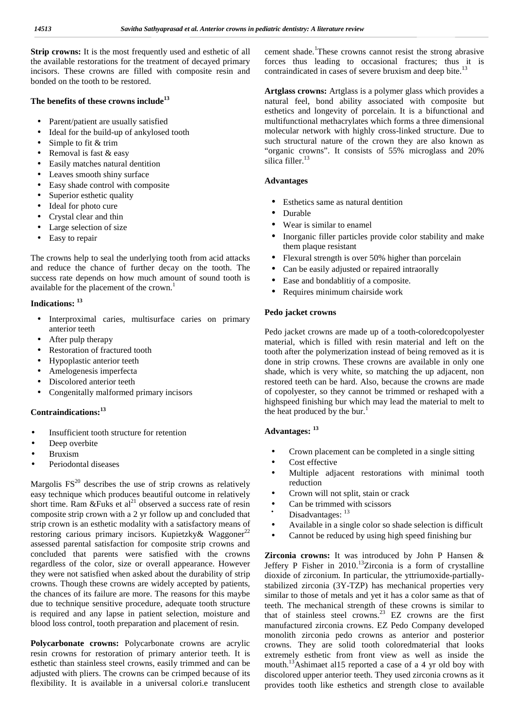**Strip crowns:** It is the most frequently used and esthetic of all the available restorations for the treatment of decayed primary incisors. These crowns are filled with composite resin and bonded on the tooth to be restored.

#### **The benefits of these crowns include<sup>13</sup>**

- Parent/patient are usually satisfied
- Ideal for the build-up of ankylosed tooth
- Simple to fit & trim
- Removal is fast & easy
- Easily matches natural dentition
- Leaves smooth shiny surface
- Easy shade control with composite
- Superior esthetic quality
- Ideal for photo cure
- Crystal clear and thin
- Large selection of size
- Easy to repair

The crowns help to seal the underlying tooth from acid attacks and reduce the chance of further decay on the tooth. The success rate depends on how much amount of sound tooth is available for the placement of the crown.<sup>1</sup>

## **Indications: <sup>13</sup>**

- Interproximal caries, multisurface caries on primary anterior teeth
	- After pulp therapy
	- Restoration of fractured tooth
	- Hypoplastic anterior teeth
	- Amelogenesis imperfecta
- ) Discolored anterior teeth<br>Congenitally malformed
- Congenitally malformed primary incisors

## **Contraindications:<sup>13</sup>**

- Insufficient tooth structure for retention
- Deep overbite
- Bruxism
- Periodontal diseases

Margolis  $FS^{20}$  describes the use of strip crowns as relatively easy technique which produces beautiful outcome in relatively short time. Ram &Fuks et al<sup>21</sup> observed a success rate of resin composite strip crown with a 2 yr follow up and concluded that strip crown is an esthetic modality with a satisfactory means of restoring carious primary incisors. Kupietzky& Waggoner<sup>22</sup> assessed parental satisfaction for composite strip crowns and concluded that parents were satisfied with the crowns regardless of the color, size or overall appearance. However they were not satisfied when asked about the durability of strip crowns. Though these crowns are widely accepted by patients, the chances of its failure are more. The reasons for this maybe due to technique sensitive procedure, adequate tooth structure is required and any lapse in patient selection, moisture and blood loss control, tooth preparation and placement of resin.

**Polycarbonate crowns:** Polycarbonate crowns are acrylic resin crowns for restoration of primary anterior teeth. It is esthetic than stainless steel crowns, easily trimmed and can be adjusted with pliers. The crowns can be crimped because of its flexibility. It is available in a universal colori.e translucent cement shade.<sup>1</sup>These crowns cannot resist the strong abrasive forces thus leading to occasional fractures; thus it is contraindicated in cases of severe bruxism and deep bite.<sup>13</sup>

**Artglass crowns:** Artglass is a polymer glass which provides a natural feel, bond ability associated with composite but esthetics and longevity of porcelain. It is a bifunctional and multifunctional methacrylates which forms a three dimensional molecular network with highly cross-linked structure. Due to such structural nature of the crown they are also known as "organic crowns". It consists of 55% microglass and 20% silica filler. $1$ 

## **Advantages**

- Esthetics same as natural dentition
- Durable
- Wear is similar to enamel
- Inorganic filler particles provide color stability and make them plaque resistant
- Flexural strength is over 50% higher than porcelain
- Can be easily adjusted or repaired intraorally
- Ease and bondablitiy of a composite.
- Requires minimum chairside work

#### **Pedo jacket crowns**

Pedo jacket crowns are made up of a tooth-coloredcopolyester material, which is filled with resin material and left on the tooth after the polymerization instead of being removed as it is done in strip crowns. These crowns are available in only one shade, which is very white, so matching the up adjacent, non restored teeth can be hard. Also, because the crowns are made of copolyester, so they cannot be trimmed or reshaped with a highspeed finishing bur which may lead the material to melt to the heat produced by the bur.<sup>1</sup>

## **Advantages: <sup>13</sup>**

- Crown placement can be completed in a single sitting
- Cost effective
- Multiple adjacent restorations with minimal tooth reduction
- Crown will not split, stain or crack
- Can be trimmed with scissors
- Disadvantages:  $^{13}$
- Available in a single color so shade selection is difficult
- Cannot be reduced by using high speed finishing bur

**Zirconia crowns:** It was introduced by John P Hansen & Jeffery P Fisher in  $2010$ .<sup>13</sup>Zirconia is a form of crystalline dioxide of zirconium. In particular, the yttriumoxide-partially stabilized zirconia (3Y-TZP) has mechanical properties very similar to those of metals and yet it has a color same as that of teeth. The mechanical strength of these crowns is similar to that of stainless steel crowns.<sup>23</sup> EZ crowns are the first manufactured zirconia crowns. EZ Pedo Company developed monolith zirconia pedo crowns as anterior and posterior crowns. They are solid tooth coloredmaterial that looks extremely esthetic from front view as well as inside the mouth.<sup>13</sup>Ashimaet al15 reported a case of a 4 yr old boy with discolored upper anterior teeth. They used zirconia crowns as it provides tooth like esthetics and strength close to available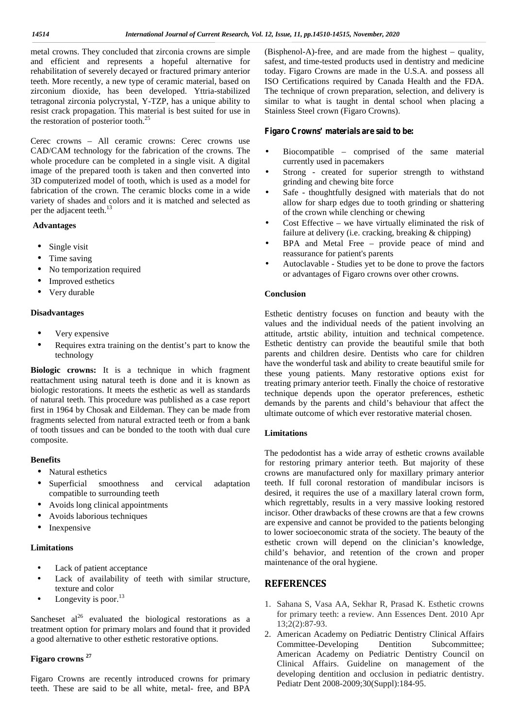metal crowns. They concluded that zirconia crowns are simple and efficient and represents a hopeful alternative for rehabilitation of severely decayed or fractured primary anterior teeth. More recently, a new type of ceramic material, based on zirconium dioxide, has been developed. Yttria-stabilized tetragonal zirconia polycrystal, Y-TZP, has a unique ability to resist crack propagation. This material is best suited for use in the restoration of posterior tooth.<sup>25</sup>

Cerec crowns – All ceramic crowns: Cerec crowns use CAD/CAM technology for the fabrication of the crowns. The whole procedure can be completed in a single visit. A digital image of the prepared tooth is taken and then converted into 3D computerized model of tooth, which is used as a model for fabrication of the crown. The ceramic blocks come in a wide variety of shades and colors and it is matched and selected as per the adjacent teeth.<sup>13</sup>

#### **Advantages**

- Single visit
- Time saving
- No temporization required
- Improved esthetics
- Very durable

#### **Disadvantages**

- Very expensive
- Requires extra training on the dentist's part to know the technology

**Biologic crowns:** It is a technique in which fragment reattachment using natural teeth is done and it is known as biologic restorations. It meets the esthetic as well as standards of natural teeth. This procedure was published as a case report first in 1964 by Chosak and Eildeman. They can be made from fragments selected from natural extracted teeth or from a bank of tooth tissues and can be bonded to the tooth with dual cure composite.

#### **Benefits**

- Natural esthetics
- Superficial smoothness and cervical adaptation compatible to surrounding teeth
- Avoids long clinical appointments
- Avoids laborious techniques
- Inexpensive

#### **Limitations**

- Lack of patient acceptance
- Lack of availability of teeth with similar structure, texture and color
- J Longevity is poor.<sup>13</sup>

Sancheset  $al^{26}$  evaluated the biological restorations as a treatment option for primary molars and found that it provided a good alternative to other esthetic restorative options.

## **Figaro crowns <sup>27</sup>**

Figaro Crowns are recently introduced crowns for primary teeth. These are said to be all white, metal- free, and BPA (Bisphenol-A)-free, and are made from the highest – quality, safest, and time-tested products used in dentistry and medicine today. Figaro Crowns are made in the U.S.A. and possess all ISO Certifications required by Canada Health and the FDA. The technique of crown preparation, selection, and delivery is similar to what is taught in dental school when placing a Stainless Steel crown (Figaro Crowns).

#### **Figaro Crowns' materials are said to be:**

- Biocompatible comprised of the same material currently used in pacemakers
- Strong created for superior strength to withstand grinding and chewing bite force
- Safe thoughtfully designed with materials that do not allow for sharp edges due to tooth grinding or shattering of the crown while clenching or chewing
- Cost Effective we have virtually eliminated the risk of failure at delivery (i.e. cracking, breaking & chipping)
- BPA and Metal Free provide peace of mind and reassurance for patient's parents
- Autoclavable Studies yet to be done to prove the factors or advantages of Figaro crowns over other crowns.

#### **Conclusion**

Esthetic dentistry focuses on function and beauty with the values and the individual needs of the patient involving an attitude, artstic ability, intuition and technical competence. Esthetic dentistry can provide the beautiful smile that both parents and children desire. Dentists who care for children have the wonderful task and ability to create beautiful smile for these young patients. Many restorative options exist for treating primary anterior teeth. Finally the choice of restorative technique depends upon the operator preferences, esthetic demands by the parents and child's behaviour that affect the ultimate outcome of which ever restorative material chosen.

#### **Limitations**

The pedodontist has a wide array of esthetic crowns available for restoring primary anterior teeth. But majority of these crowns are manufactured only for maxillary primary anterior teeth. If full coronal restoration of mandibular incisors is desired, it requires the use of a maxillary lateral crown form, which regrettably, results in a very massive looking restored incisor. Other drawbacks of these crowns are that a few crowns are expensive and cannot be provided to the patients belonging to lower socioeconomic strata of the society. The beauty of the esthetic crown will depend on the clinician's knowledge, child's behavior, and retention of the crown and proper maintenance of the oral hygiene.

## **REFERENCES**

- 1. Sahana S, Vasa AA, Sekhar R, Prasad K. Esthetic crowns for primary teeth: a review. Ann Essences Dent. 2010 Apr 13;2(2):87-93.
- 2. American Academy on Pediatric Dentistry Clinical Affairs Committee-Developing Dentition Subcommittee; American Academy on Pediatric Dentistry Council on Clinical Affairs. Guideline on management of the developing dentition and occlusion in pediatric dentistry. Pediatr Dent 2008-2009;30(Suppl):184-95.